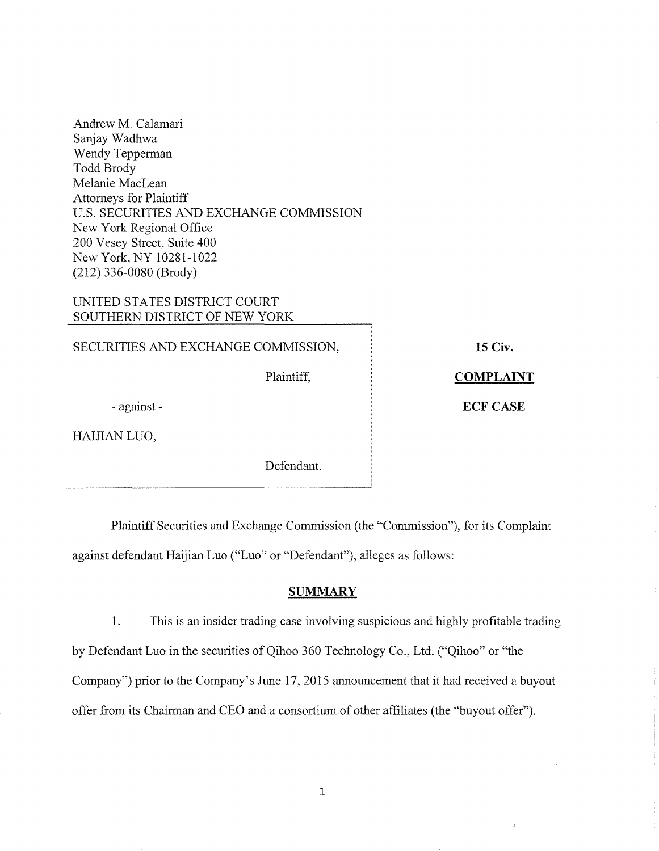# UNITED STATES DISTRICT COURT SOUTHERN DISTRICT OF NEW YORK

SECURITIES AND EXCHANGE COMMISSION,

Plaintiff,

**15 Civ.** 

**COMPLAINT** 

**ECF CASE** 

-against-

HAIJIAN LUO,

Defendant.

Plaintiff Securities and Exchange Commission (the "Commission"), for its Complaint against defendant Haijian Luo ("Luo" or "Defendant"), alleges as follows:

# **SUMMARY**

1. This is an insider trading case involving suspicious and highly profitable trading by Defendant Luo in the securities of Qihoo 360 Technology Co., Ltd. ("Qihoo" or "the Company") prior to the Company's June 17, 2015 announcement that it had received a buyout offer from its Chairman and CEO and a consortium of other affiliates (the "buyout offer").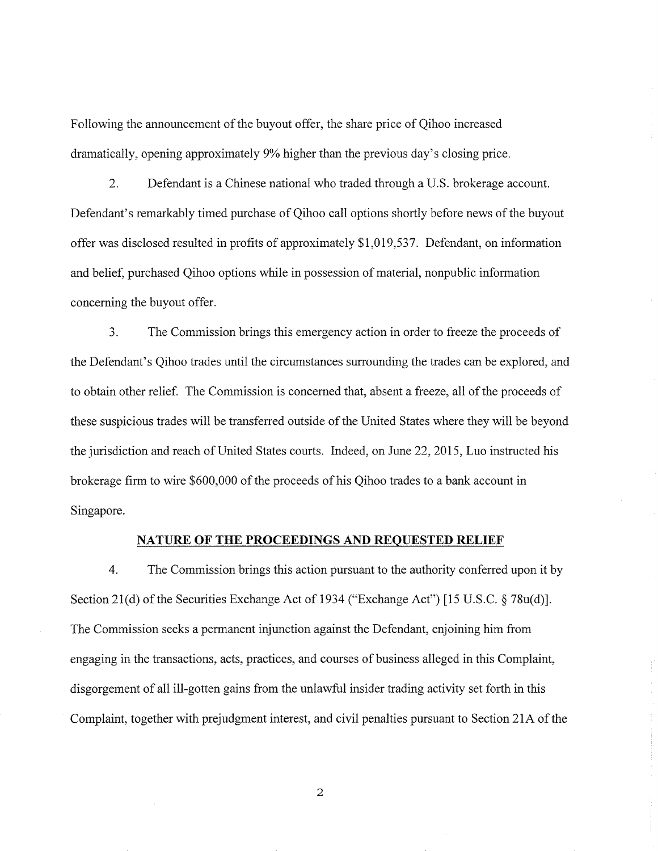Following the announcement of the buyout offer, the share price of Qihoo increased dramatically, opening approximately 9% higher than the previous day's closing price.

2. Defendant is a Chinese national who traded through a U.S. brokerage account. Defendant's remarkably timed purchase of Qihoo call options shortly before news of the buyout offer was disclosed resulted in profits of approximately \$1,019,537. Defendant, on information and belief, purchased Qihoo options while in possession of material, nonpublic information concerning the buyout offer.

3. The Commission brings this emergency action in order to freeze the proceeds of the Defendant's Qihoo trades until the circumstances surrounding the trades can be explored, and to obtain other relief. The Commission is concerned that, absent a freeze, all of the proceeds of these suspicious trades will be transferred outside ofthe United States where they will be beyond the jurisdiction and reach of United States courts. Indeed, on June 22, 2015, Luo instructed his brokerage firm to wire \$600,000 of the proceeds of his Qihoo trades to a bank account in Singapore.

#### **NATURE OF THE PROCEEDINGS AND REQUESTED RELIEF**

4. The Commission brings this action pursuant to the authority conferred upon it by Section 21(d) of the Securities Exchange Act of 1934 ("Exchange Act") [15 U.S.C.  $\S 78u(d)$ ]. The Commission seeks a permanent injunction against the Defendant, enjoining him from engaging in the transactions, acts, practices, and courses of business alleged in this Complaint, disgorgement of all ill-gotten gains from the unlawful insider trading activity set forth in this Complaint, together with prejudgment interest, and civil penalties pursuant to Section 2IA of the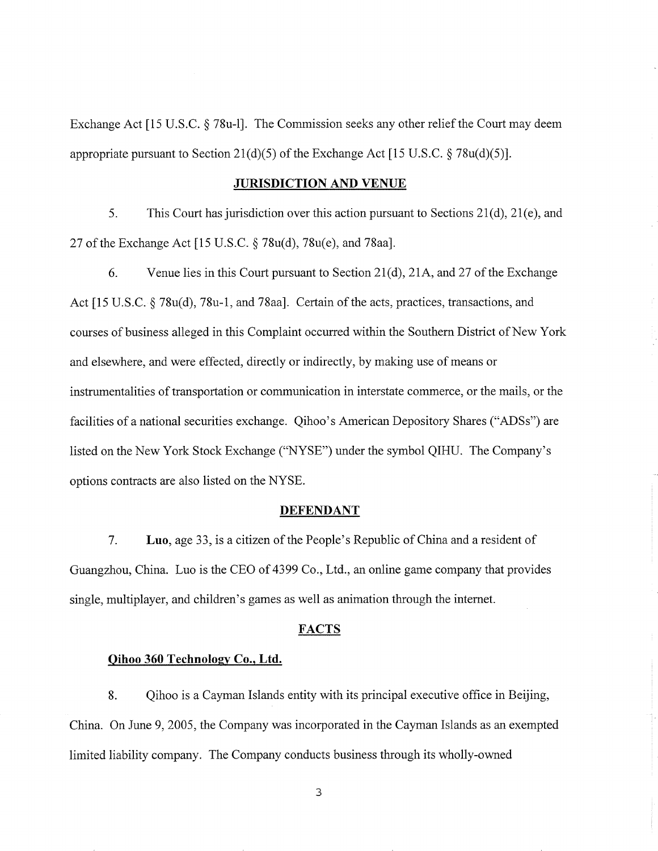Exchange Act [15 U.S.C. § 78u-l]. The Commission seeks any other relief the Court may deem appropriate pursuant to Section 21(d)(5) of the Exchange Act [15 U.S.C.  $\S 78u(d)(5)$ ].

### **JURISDICTION AND VENUE**

5. This Court has jurisdiction over this action pursuant to Sections 21 (d), 21 (e), and 27 of the Exchange Act [15 U.S.C. § 78u(d), 78u(e), and 78aa].

6. Venue lies in this Court pursuant to Section 21(d), 21A, and 27 of the Exchange Act [15 U.S.C. § 78u(d), 78u-1, and 78aa]. Certain of the acts, practices, transactions, and courses of business alleged in this Complaint occurred within the Southern District of New York and elsewhere, and were effected, directly or indirectly, by making use of means or instrumentalities of transportation or communication in interstate commerce, or the mails, or the facilities of a national securities exchange. Qihoo's American Depository Shares ("ADSs") are listed on the New York Stock Exchange ("NYSE") under the symbol QIHU. The Company's options contracts are also listed on the NYSE.

#### **DEFENDANT**

7. **Luo,** age 33, is a citizen of the People's Republic ofChina and a resident of Guangzhou, China. Luo is the CEO of 4399 Co., Ltd., an online game company that provides single, multiplayer, and children's games as well as animation through the internet.

#### **FACTS**

#### **Qihoo 360 Technology Co., Ltd.**

8. Qihoo is a Cayman Islands entity with its principal executive office in Beijing, China. On June 9, 2005, the Company was incorporated in the Cayman Islands as an exempted limited liability company. The Company conducts business through its wholly-owned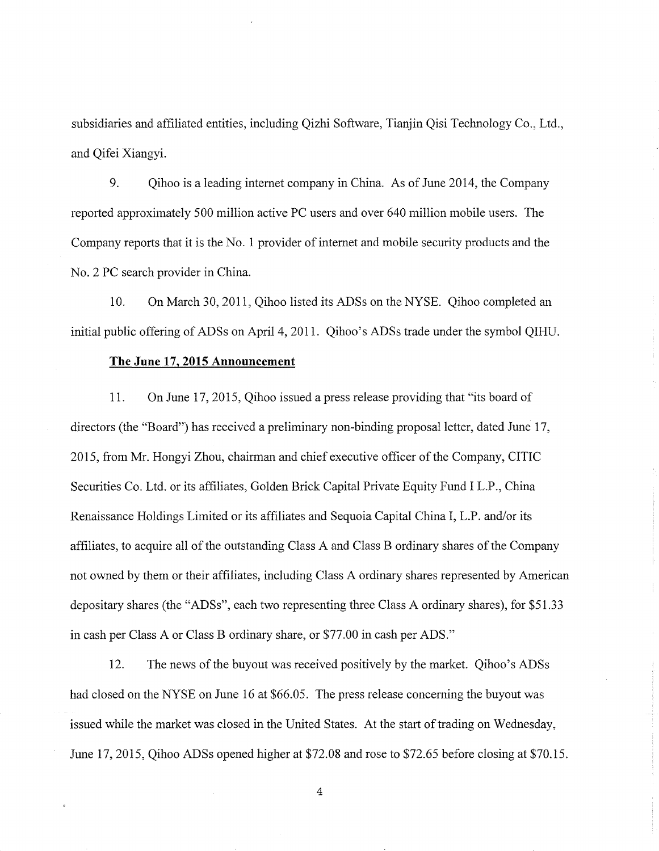subsidiaries and affiliated entities, including Qizhi Software, Tianjin Qisi Technology Co., Ltd., and Qifei Xiangyi.

9. Qihoo is a leading internet company in China. As of June 2014, the Company reported approximately 500 million active PC users and over 640 million mobile users. The Company reports that it is the No. 1 provider ofinternet and mobile security products and the No.2 PC search provider in China.

10. On March 30, 2011, Qihoo listed its ADSs on the NYSE. Qihoo completed an initial public offering of ADSs on April 4, 2011. Qihoo's ADSs trade under the symbol QIHU.

### **The June 17,2015 Announcement**

11. On June 17, 2015, Qihoo issued a press release providing that "its board of directors (the "Board") has received a preliminary non-binding proposal letter, dated June 17, 2015, from Mr. Hongyi Zhou, chairman and chief executive officer of the Company, CITIC Securities Co. Ltd. or its affiliates, Golden Brick Capital Private Equity Fund I L.P., China Renaissance Holdings Limited or its affiliates and Sequoia Capital China I, L.P. and/or its affiliates, to acquire all ofthe outstanding Class A and Class B ordinary shares ofthe Company not owned by them or their affiliates, including Class A ordinary shares represented by American depositary shares (the "ADSs", each two representing three Class A ordinary shares), for \$51.33 in cash per Class A or Class B ordinary share, or \$77.00 in cash per ADS."

12. The news of the buyout was received positively by the market. Qihoo's ADSs had closed on the NYSE on June 16 at \$66.05. The press release concerning the buyout was issued while the market was closed in the United States. At the start of trading on Wednesday, June 17, 2015, Qihoo ADSs opened higher at \$72.08 and rose to \$72.65 before closing at \$70.15.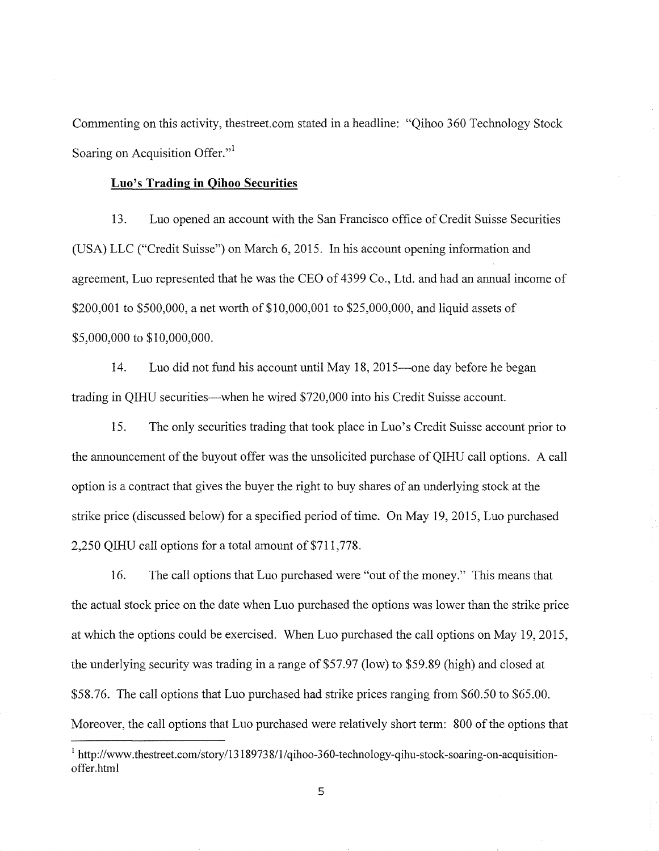Commenting on this activity, thestreet.com stated in a headline: "Qihoo 360 Technology Stock Soaring on Acquisition Offer."

#### **Luo's Trading in Qihoo Securities**

13. Luo opened an account with the San Francisco office of Credit Suisse Securities (USA) LLC ("Credit Suisse") on March 6, 2015. In his account opening information and agreement, Luo represented that he was the CEO of 4399 Co., Ltd. and had an annual income of \$200,001 to \$500,000, a net worth of \$10,000,001 to \$25,000,000, and liquid assets of \$5,000,000 to \$10,000,000.

14. Luo did not fund his account until May 18, 2015—one day before he began trading in QIHU securities—when he wired \$720,000 into his Credit Suisse account.

15. The only securities trading that took place in Luo's Credit Suisse account prior to the announcement of the buyout offer was the unsolicited purchase of OIHU call options. A call option is a contract that gives the buyer the right to buy shares of an underlying stock at the strike price (discussed below) for a specified period of time. On May 19, 2015, Luo purchased 2,250 QIHU call options for a total amount of \$711,778.

16. The call options that Luo purchased were "out of the money." This means that the actual stock price on the date when Luo purchased the options was lower than the strike price at which the options could be exercised. When Luo purchased the call options on May 19, 2015, the underlying security was trading in a range of \$57.97 (low) to \$59.89 (high) and closed at \$58.76. The call options that Luo purchased had strike prices ranging from \$60.50 to \$65.00. Moreover, the call options that Luo purchased were relatively short term: 800 of the options that

<sup>&</sup>lt;sup>1</sup> http://www.thestreet.com/story/13189738/1/qihoo-360-technology-qihu-stock-soaring-on-acquisitionoffer.html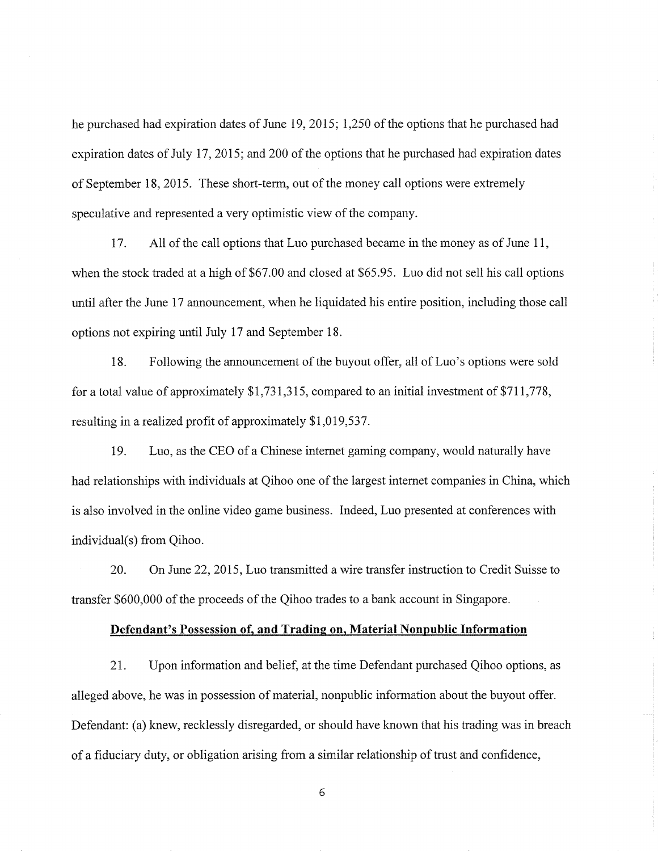he purchased had expiration dates of June 19, 2015; 1,250 of the options that he purchased had expiration dates of July 17, 2015; and 200 of the options that he purchased had expiration dates of September 18, 2015. These short-term, out of the money call options were extremely speculative and represented a very optimistic view of the company.

17. All of the call options that Luo purchased became in the money as of June 11, when the stock traded at a high of \$67.00 and closed at \$65.95. Luo did not sell his call options until after the June 17 announcement, when he liquidated his entire position, including those call options not expiring until July 17 and September 18.

18. Following the announcement of the buyout offer, all of Luo's options were sold for a total value of approximately \$1,731,315, compared to an initial investment of\$711,778, resulting in a realized profit of approximately \$1,019,537.

19. Luo, as the CEO of a Chinese internet gaming company, would naturally have had relationships with individuals at Qihoo one of the largest internet companies in China, which is also involved in the online video game business. Indeed, Luo presented at conferences with individual(s) from Qihoo.

20. On June 22, 2015, Luo transmitted a wire transfer instruction to Credit Suisse to transfer \$600,000 ofthe proceeds of the Qihoo trades to a bank account in Singapore.

## **Defendant's Possession of, and Trading on, Material Nonpublic Information**

21. Upon information and belief, at the time Defendant purchased Qihoo options, as alleged above, he was in possession of material, nonpublic information about the buyout offer. Defendant: (a) knew, recklessly disregarded, or should have known that his trading was in breach of a fiduciary duty, or obligation arising from a similar relationship oftrust and confidence,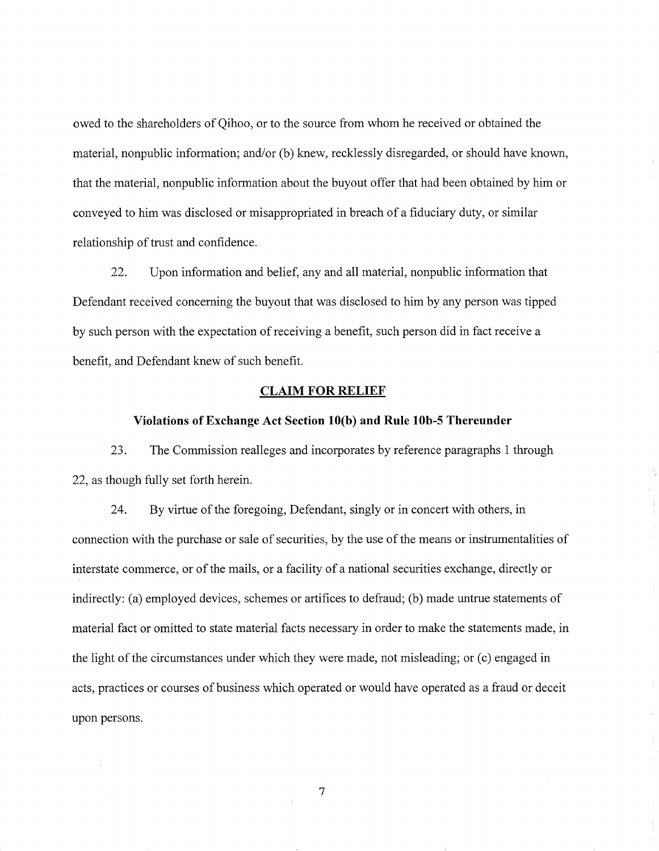owed to the shareholders of Qihoo, or to the source from whom he received or obtained the material, nonpublic information; and/or (b) knew, recklessly disregarded, or should have known, that the material, nonpublic information about the buyout offer that had been obtained by him or conveyed to him was disclosed or misappropriated in breach of a fiduciary duty, or similar relationship of trust and confidence.

22. Upon information and belief, any and all material, nonpublic information that Defendant received concerning the buyout that was disclosed to him by any person was tipped by such person with the expectation of receiving a benefit, such person did in fact receive a benefit, and Defendant knew of such benefit.

#### **CLAIM FOR RELIEF**

#### **Violations of Exchange Act Section lO(b) and Rule lOb-S Thereunder**

23. The Commission realleges and incorporates by reference paragraphs 1 through 22, as though fully set forth herein.

24. By virtue of the foregoing, Defendant, singly or in concert with others, in connection with the purchase or sale of securities, by the use of the means or instrumentalities of interstate commerce, or of the mails, or a facility of a national securities exchange, directly or indirectly: (a) employed devices, schemes or artifices to defraud; (b) made untrue statements of material fact or omitted to state material facts necessary in order to make the statements made, in the light of the circumstances under which they were made, not misleading; or (c) engaged in acts, practices or courses of business which operated or would have operated as a fraud or deceit upon persons.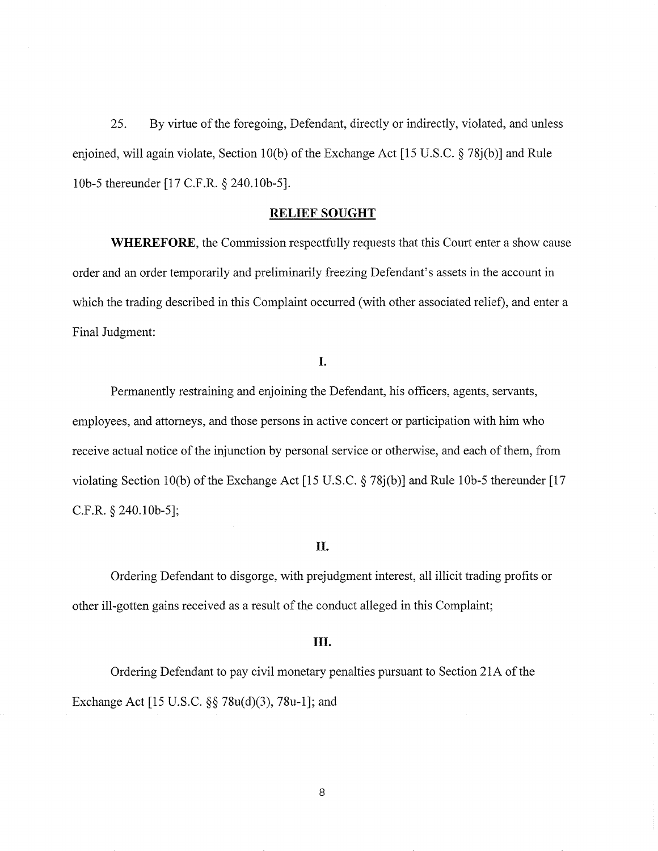25. By virtue of the foregoing, Defendant, directly or indirectly, violated, and unless enjoined, will again violate, Section 10(b) of the Exchange Act [15 U.S.C. § 78j(b)] and Rule lOb-5 thereunder [17 C.F.R. *§* 240.10b-5].

## **RELIEF SOUGHT**

**WHEREFORE,** the Commission respectfully requests that this Court enter a show cause order and an order temporarily and preliminarily freezing Defendant's assets in the account in which the trading described in this Complaint occurred (with other associated relief), and enter a Final Judgment:

# **I.**

Permanently restraining and enjoining the Defendant, his officers, agents, servants, employees, and attorneys, and those persons in active concert or participation with him who receive actual notice of the injunction by personal service or otherwise, and each of them, from violating Section 10(b) of the Exchange Act [15 U.S.C.  $\S$  78j(b)] and Rule 10b-5 thereunder [17 C.F.R. § 240.10b-5];

## II.

Ordering Defendant to disgorge, with prejudgment interest, all illicit trading profits or other ill-gotten gains received as a result of the conduct alleged in this Complaint;

#### **III.**

Ordering Defendant to pay civil monetary penalties pursuant to Section 21A of the Exchange Act [15 U.S.C. *§§* 78u(d)(3), 78u-1]; and